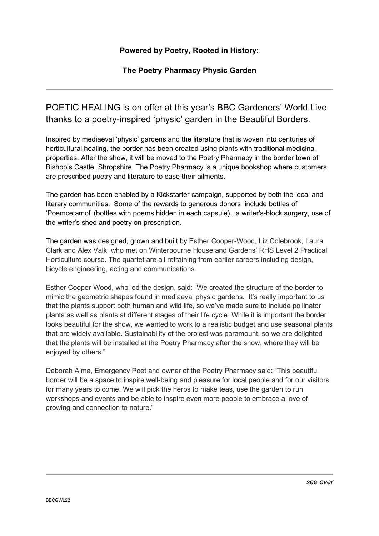The Poetry Pharmacy Physic Garden

## POETIC HEALING is on offer at this year's BBC Gardeners' World Live thanks to a poetry-inspired 'physic' garden in the Beautiful Borders.

Inspired by mediaeval 'physic' gardens and the literature that is woven into centuries of horticultural healing, the border has been created using plants with traditional medicinal properties. After the show, it will be moved to the Poetry Pharmacy in the border town of Bishop's Castle, Shropshire. The Poetry Pharmacy is a unique bookshop where customers are prescribed poetry and literature to ease their ailments.

The garden has been enabled by a Kickstarter campaign, supported by both the local and literary communities. Some of the rewards to generous donors include bottles of 'Poemcetamol' (bottles with poems hidden in each capsule) , a writer's-block surgery, use of the writer's shed and poetry on prescription.

The garden was designed, grown and built by Esther Cooper-Wood, Liz Colebrook, Laura Clark and Alex Valk, who met on Winterbourne House and Gardens' RHS Level 2 Practical Horticulture course. The quartet are all retraining from earlier careers including design, bicycle engineering, acting and communications.

Esther Cooper-Wood, who led the design, said: "We created the structure of the border to mimic the geometric shapes found in mediaeval physic gardens. It's really important to us that the plants support both human and wild life, so we've made sure to include pollinator plants as well as plants at different stages of their life cycle. While it is important the border looks beautiful for the show, we wanted to work to a realistic budget and use seasonal plants that are widely available. Sustainability of the project was paramount, so we are delighted that the plants will be installed at the Poetry Pharmacy after the show, where they will be enjoyed by others."

Deborah Alma, Emergency Poet and owner of the Poetry Pharmacy said: "This beautiful border will be a space to inspire well-being and pleasure for local people and for our visitors for many years to come. We will pick the herbs to make teas, use the garden to run workshops and events and be able to inspire even more people to embrace a love of growing and connection to nature."